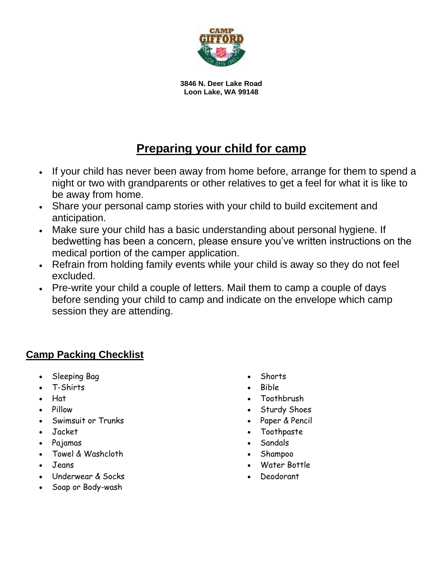

**3846 N. Deer Lake Road Loon Lake, WA 99148**

## **Preparing your child for camp**

- If your child has never been away from home before, arrange for them to spend a night or two with grandparents or other relatives to get a feel for what it is like to be away from home.
- Share your personal camp stories with your child to build excitement and anticipation.
- Make sure your child has a basic understanding about personal hygiene. If bedwetting has been a concern, please ensure you've written instructions on the medical portion of the camper application.
- Refrain from holding family events while your child is away so they do not feel excluded.
- Pre-write your child a couple of letters. Mail them to camp a couple of days before sending your child to camp and indicate on the envelope which camp session they are attending.

## **Camp Packing Checklist**

- Sleeping Bag
- T-Shirts
- Hat
- Pillow
- Swimsuit or Trunks
- Jacket
- Pajamas
- Towel & Washcloth
- Jeans
- Underwear & Socks
- Soap or Body-wash
- Shorts
- Bible
- Toothbrush
- Sturdy Shoes
- Paper & Pencil
- Toothpaste
- Sandals
- Shampoo
- Water Bottle
- Deodorant